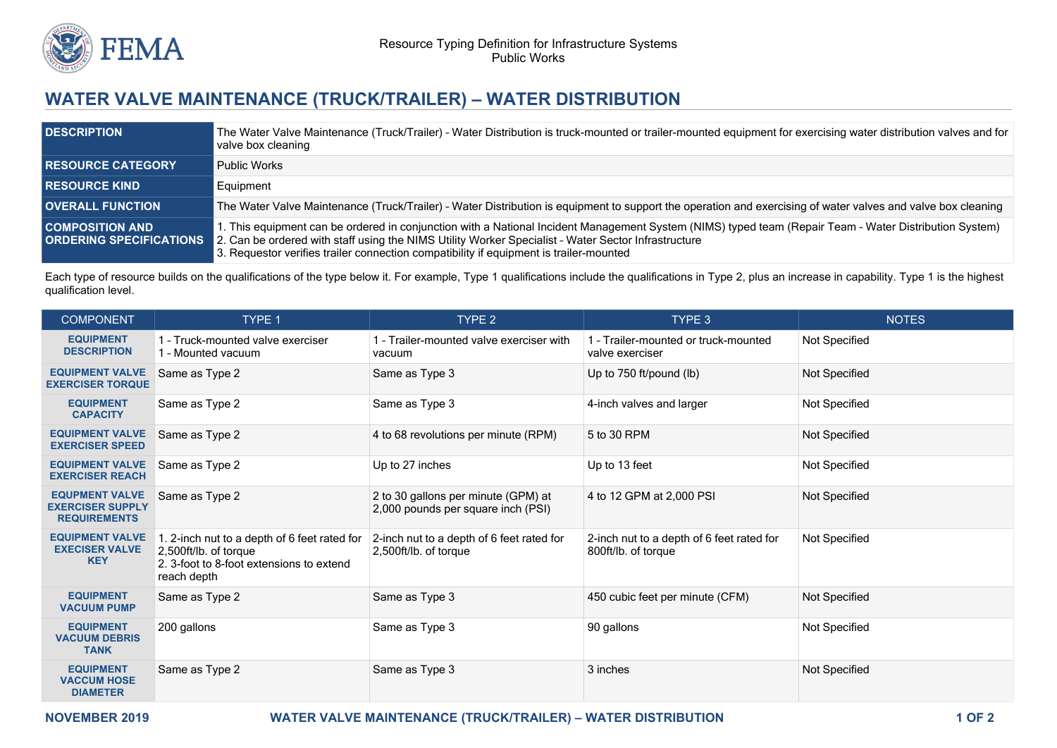

## **WATER VALVE MAINTENANCE (TRUCK/TRAILER) – WATER DISTRIBUTION**

| <b>DESCRIPTION</b>                                       | The Water Valve Maintenance (Truck/Trailer) - Water Distribution is truck-mounted or trailer-mounted equipment for exercising water distribution valves and for<br>valve box cleaning                                                                                                                                                                   |
|----------------------------------------------------------|---------------------------------------------------------------------------------------------------------------------------------------------------------------------------------------------------------------------------------------------------------------------------------------------------------------------------------------------------------|
| <b>RESOURCE CATEGORY</b>                                 | <b>Public Works</b>                                                                                                                                                                                                                                                                                                                                     |
| <b>RESOURCE KIND</b>                                     | Equipment                                                                                                                                                                                                                                                                                                                                               |
| <b>OVERALL FUNCTION</b>                                  | The Water Valve Maintenance (Truck/Trailer) - Water Distribution is equipment to support the operation and exercising of water valves and valve box cleaning                                                                                                                                                                                            |
| <b>COMPOSITION AND</b><br><b>ORDERING SPECIFICATIONS</b> | 1. This equipment can be ordered in conjunction with a National Incident Management System (NIMS) typed team (Repair Team - Water Distribution System)<br>2. Can be ordered with staff using the NIMS Utility Worker Specialist - Water Sector Infrastructure<br>3. Requestor verifies trailer connection compatibility if equipment is trailer-mounted |

Each type of resource builds on the qualifications of the type below it. For example, Type 1 qualifications include the qualifications in Type 2, plus an increase in capability. Type 1 is the highest qualification level.

| <b>COMPONENT</b>                                                        | TYPE 1                                                                                                                           | TYPE <sub>2</sub>                                                         | TYPE 3                                                           | <b>NOTES</b>  |
|-------------------------------------------------------------------------|----------------------------------------------------------------------------------------------------------------------------------|---------------------------------------------------------------------------|------------------------------------------------------------------|---------------|
| <b>EQUIPMENT</b><br><b>DESCRIPTION</b>                                  | 1 - Truck-mounted valve exerciser<br>1 - Mounted vacuum                                                                          | I - Trailer-mounted valve exerciser with<br>vacuum                        | 1 - Trailer-mounted or truck-mounted<br>valve exerciser          | Not Specified |
| <b>EQUIPMENT VALVE</b><br><b>EXERCISER TORQUE</b>                       | Same as Type 2                                                                                                                   | Same as Type 3                                                            | Up to 750 ft/pound (lb)                                          | Not Specified |
| <b>EQUIPMENT</b><br><b>CAPACITY</b>                                     | Same as Type 2                                                                                                                   | Same as Type 3                                                            | 4-inch valves and larger                                         | Not Specified |
| <b>EQUIPMENT VALVE</b><br><b>EXERCISER SPEED</b>                        | Same as Type 2                                                                                                                   | 4 to 68 revolutions per minute (RPM)                                      | 5 to 30 RPM                                                      | Not Specified |
| <b>EQUIPMENT VALVE</b><br><b>EXERCISER REACH</b>                        | Same as Type 2                                                                                                                   | Up to 27 inches                                                           | Up to 13 feet                                                    | Not Specified |
| <b>EQUPMENT VALVE</b><br><b>EXERCISER SUPPLY</b><br><b>REQUIREMENTS</b> | Same as Type 2                                                                                                                   | 2 to 30 gallons per minute (GPM) at<br>2,000 pounds per square inch (PSI) | 4 to 12 GPM at 2,000 PSI                                         | Not Specified |
| <b>EQUIPMENT VALVE</b><br><b>EXECISER VALVE</b><br><b>KEY</b>           | 1. 2-inch nut to a depth of 6 feet rated for<br>2,500ft/lb. of torque<br>2. 3-foot to 8-foot extensions to extend<br>reach depth | 2-inch nut to a depth of 6 feet rated for<br>2,500ft/lb. of torque        | 2-inch nut to a depth of 6 feet rated for<br>800ft/lb. of torque | Not Specified |
| <b>EQUIPMENT</b><br><b>VACUUM PUMP</b>                                  | Same as Type 2                                                                                                                   | Same as Type 3                                                            | 450 cubic feet per minute (CFM)                                  | Not Specified |
| <b>EQUIPMENT</b><br><b>VACUUM DEBRIS</b><br><b>TANK</b>                 | 200 gallons                                                                                                                      | Same as Type 3                                                            | 90 gallons                                                       | Not Specified |
| <b>EQUIPMENT</b><br><b>VACCUM HOSE</b><br><b>DIAMETER</b>               | Same as Type 2                                                                                                                   | Same as Type 3                                                            | 3 inches                                                         | Not Specified |